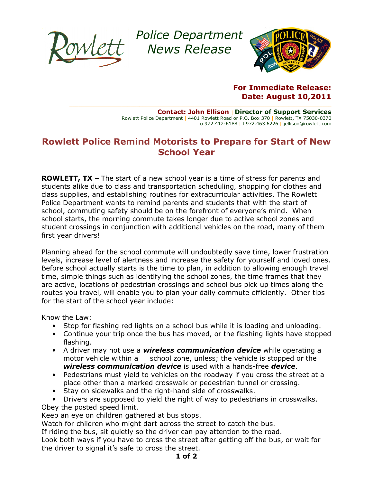

Police Department Police News Release



For Immediate Release: Date: August 10,2011

Rowlett Police Department | 4401 Rowlett Road or P.O. Box 370 | Rowlett, TX 75030-0370 Contact: John Ellison | Director of Support Services o 972.412-6188 | f 972.463.6226 | jellison@rowlett.com

## Rowlett Police Remind Motorists to Prepare for Start of New School Year

 $\_$  , and the state of the state of the state of the state of the state of the state of the state of the state of the state of the state of the state of the state of the state of the state of the state of the state of the

**ROWLETT, TX** – The start of a new school year is a time of stress for parents and students alike due to class and transportation scheduling, shopping for clothes and students alike due to class and transportation scheduling, shopping for clothes and<br>class supplies, and establishing routines for extracurricular activities. The Rowlett Police Department wants to remind parents and students that with the start of school, commuting safety should be on the forefront of everyone's mind. When Police Department wants to remind parents and students that with the start of<br>school, commuting safety should be on the forefront of everyone's mind. When<br>school starts, the morning commute takes longer due to active schoo student crossings in conjunction with additional vehicles on the road, many of them first year drivers! stablishing routines for extracurricular activities. The Rowlett<br>ants to remind parents and students that with the start of<br>afety should be on the forefront of everyone's mind. When<br>prning commute takes longer due to activ

Planning ahead for the school commute will undoubtedly save time, lower frustration levels, increase level of alertness and increase the safety for yourself and loved ones. Before school actually starts is the time to plan, in addition to allowing enough travel time, simple things such as identifying the school zones, the time frames that they are active, locations of pedestrian crossings and school bus pick up times along the routes you travel, will enable you to plan your daily commute efficiently. Other tips for the start of the school year include: levels, increase level of alertness and increase the safety for yourself and loved one<br>Before school actually starts is the time to plan, in addition to allowing enough trave<br>time, simple things such as identifying the sch d for the school commute will undoubtedly save time, lower frustration<br>e level of alertness and increase the safety for yourself and loved one<br>actually starts is the time to plan, in addition to allowing enough trav-<br>hings

Know the Law:

- Stop for flashing red lights on a school bus while it is loading and unloading.
- Continue your trip once the bus has moved, or the flashing lights have stopped flashing.
- A driver may not use a *wireless communication device* while operating a motor vehicle within a school zone, unless; the vehicle is stopped or the wireless communication device is used with a hands-free device.
- Pedestrians must yield to vehicles on the roadway if you cross the street at a place other than a marked crosswalk or pedestrian tunnel or crossing. strians must yield to vehicles on the roadway if you cross the stre<br>other than a marked crosswalk or pedestrian tunnel or crossing.<br>on sidewalks and the right-hand side of crosswalks.
- Stay on sidewalks and the right-hand side of crosswalks.
- Drivers are supposed to yield the right of way to pedestrians in crosswalks.

Obey the posted speed limit.

Keep an eye on children gathered at bus stops.

Watch for children who might dart across the street to catch the bus.

If riding the bus, sit quietly so the driver can pay attention to the road.

Look both ways if you have to cross the street after getting off the bus, or wait for the driver to signal it's safe to cross the street. Watch for children who might dart across the street to catch the bus.<br>If riding the bus, sit quietly so the driver can pay attention to the road.<br>Look both ways if you have to cross the street after getting off the bus,<br>th